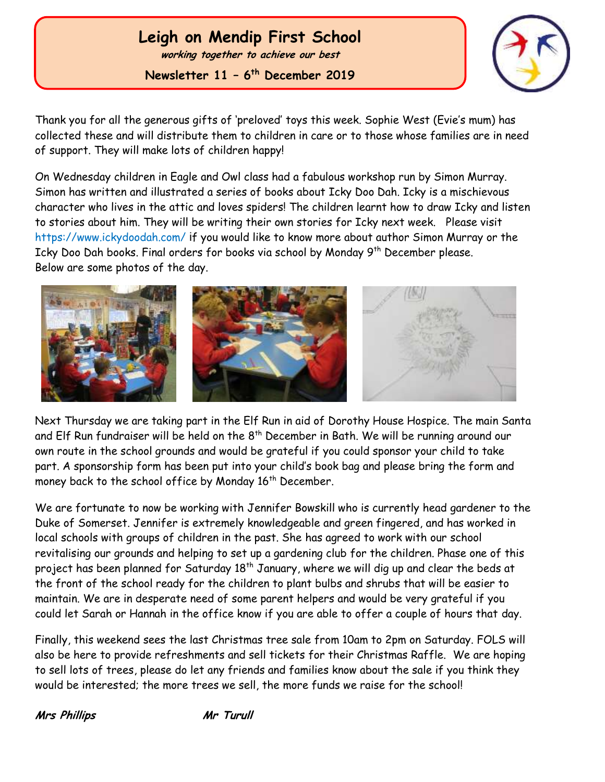### **Leigh on Mendip First School**

**working together to achieve our best**

**Newsletter 11 – 6 th December 2019**



Thank you for all the generous gifts of 'preloved' toys this week. Sophie West (Evie's mum) has collected these and will distribute them to children in care or to those whose families are in need of support. They will make lots of children happy!

On Wednesday children in Eagle and Owl class had a fabulous workshop run by Simon Murray. Simon has written and illustrated a series of books about Icky Doo Dah. Icky is a mischievous character who lives in the attic and loves spiders! The children learnt how to draw Icky and listen to stories about him. They will be writing their own stories for Icky next week. Please visit <https://www.ickydoodah.com/> if you would like to know more about author Simon Murray or the Icky Doo Dah books. Final orders for books via school by Monday 9th December please. Below are some photos of the day.



Next Thursday we are taking part in the Elf Run in aid of Dorothy House Hospice. The main Santa and Elf Run fundraiser will be held on the 8th December in Bath. We will be running around our own route in the school grounds and would be grateful if you could sponsor your child to take part. A sponsorship form has been put into your child's book bag and please bring the form and money back to the school office by Monday 16<sup>th</sup> December.

We are fortunate to now be working with Jennifer Bowskill who is currently head gardener to the Duke of Somerset. Jennifer is extremely knowledgeable and green fingered, and has worked in local schools with groups of children in the past. She has agreed to work with our school revitalising our grounds and helping to set up a gardening club for the children. Phase one of this project has been planned for Saturday 18<sup>th</sup> January, where we will dig up and clear the beds at the front of the school ready for the children to plant bulbs and shrubs that will be easier to maintain. We are in desperate need of some parent helpers and would be very grateful if you could let Sarah or Hannah in the office know if you are able to offer a couple of hours that day.

Finally, this weekend sees the last Christmas tree sale from 10am to 2pm on Saturday. FOLS will also be here to provide refreshments and sell tickets for their Christmas Raffle. We are hoping to sell lots of trees, please do let any friends and families know about the sale if you think they would be interested; the more trees we sell, the more funds we raise for the school!

**Mrs Phillips Mr Turull**

 Ĭ